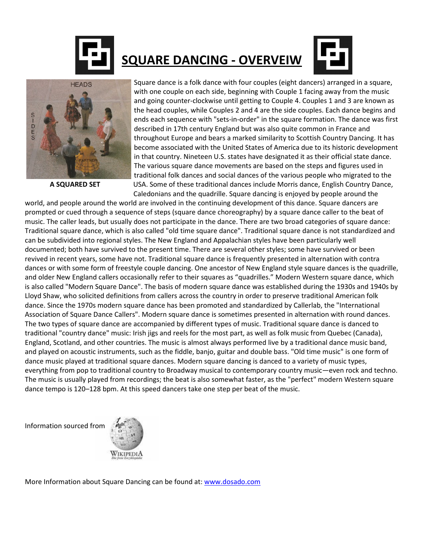

# SQUARE DANCING - OVERVEIW



Square dance is a folk dance with four couples (eight dancers) arranged in a square, with one couple on each side, beginning with Couple 1 facing away from the music and going counter-clockwise until getting to Couple 4. Couples 1 and 3 are known as the head couples, while Couples 2 and 4 are the side couples. Each dance begins and ends each sequence with "sets-in-order" in the square formation. The dance was first described in 17th century England but was also quite common in France and throughout Europe and bears a marked similarity to Scottish Country Dancing. It has become associated with the United States of America due to its historic development in that country. Nineteen U.S. states have designated it as their official state dance. The various square dance movements are based on the steps and figures used in traditional folk dances and social dances of the various people who migrated to the A SQUARED SET USA. Some of these traditional dances include Morris dance, English Country Dance,

Caledonians and the quadrille. Square dancing is enjoyed by people around the

world, and people around the world are involved in the continuing development of this dance. Square dancers are prompted or cued through a sequence of steps (square dance choreography) by a square dance caller to the beat of music. The caller leads, but usually does not participate in the dance. There are two broad categories of square dance: Traditional square dance, which is also called "old time square dance". Traditional square dance is not standardized and can be subdivided into regional styles. The New England and Appalachian styles have been particularly well documented; both have survived to the present time. There are several other styles; some have survived or been revived in recent years, some have not. Traditional square dance is frequently presented in alternation with contra dances or with some form of freestyle couple dancing. One ancestor of New England style square dances is the quadrille, and older New England callers occasionally refer to their squares as "quadrilles." Modern Western square dance, which is also called "Modern Square Dance". The basis of modern square dance was established during the 1930s and 1940s by Lloyd Shaw, who solicited definitions from callers across the country in order to preserve traditional American folk dance. Since the 1970s modern square dance has been promoted and standardized by Callerlab, the "International Association of Square Dance Callers". Modern square dance is sometimes presented in alternation with round dances. The two types of square dance are accompanied by different types of music. Traditional square dance is danced to traditional "country dance" music: Irish jigs and reels for the most part, as well as folk music from Quebec (Canada), England, Scotland, and other countries. The music is almost always performed live by a traditional dance music band, and played on acoustic instruments, such as the fiddle, banjo, guitar and double bass. "Old time music" is one form of dance music played at traditional square dances. Modern square dancing is danced to a variety of music types, everything from pop to traditional country to Broadway musical to contemporary country music—even rock and techno. The music is usually played from recordings; the beat is also somewhat faster, as the "perfect" modern Western square dance tempo is 120–128 bpm. At this speed dancers take one step per beat of the music.

Information sourced from



More Information about Square Dancing can be found at: www.dosado.com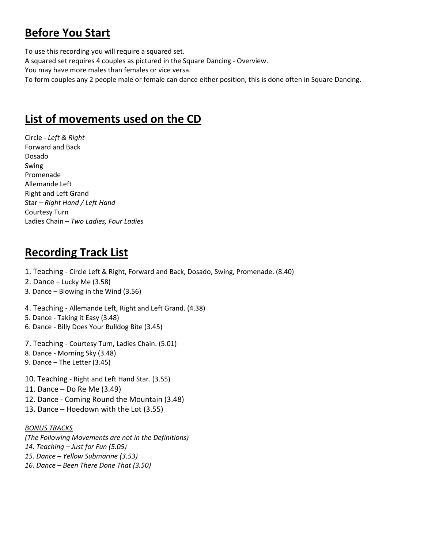## Before You Start

To use this recording you will require a squared set. A squared set requires 4 couples as pictured in the Square Dancing - Overview. You may have more males than females or vice versa. To form couples any 2 people male or female can dance either position, this is done often in Square Dancing.

### List of movements used on the CD

Circle - Left & Right Forward and Back Dosado Swing Promenade Allemande Left Right and Left Grand Star – Right Hand / Left Hand Courtesy Turn Ladies Chain – Two Ladies, Four Ladies

### Recording Track List

1. Teaching - Circle Left & Right, Forward and Back, Dosado, Swing, Promenade. (8.40)

2. Dance – Lucky Me (3.58)

3. Dance – Blowing in the Wind (3.56)

4. Teaching - Allemande Left, Right and Left Grand. (4.38)

5. Dance - Taking it Easy (3.48)

6. Dance - Billy Does Your Bulldog Bite (3.45)

7. Teaching - Courtesy Turn, Ladies Chain. (5.01)

8. Dance - Morning Sky (3.48)

9. Dance – The Letter (3.45)

10. Teaching - Right and Left Hand Star. (3.55)

- 11. Dance Do Re Me (3.49)
- 12. Dance Coming Round the Mountain (3.48)
- 13. Dance Hoedown with the Lot (3.55)

#### BONUS TRACKS

(The Following Movements are not in the Definitions) 14. Teaching – Just for Fun (5.05) 15. Dance – Yellow Submarine (3.53) 16. Dance – Been There Done That (3.50)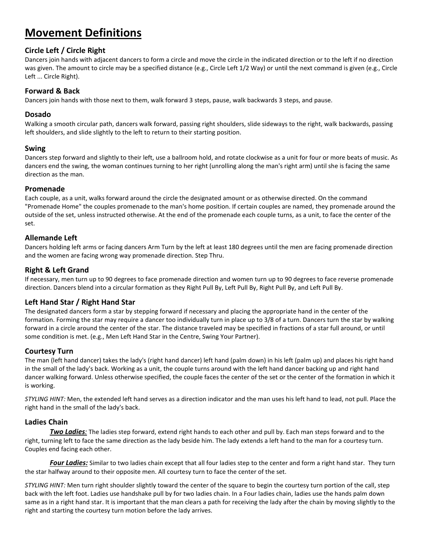### Movement Definitions

#### Circle Left / Circle Right

Dancers join hands with adjacent dancers to form a circle and move the circle in the indicated direction or to the left if no direction was given. The amount to circle may be a specified distance (e.g., Circle Left 1/2 Way) or until the next command is given (e.g., Circle Left ... Circle Right).

#### Forward & Back

Dancers join hands with those next to them, walk forward 3 steps, pause, walk backwards 3 steps, and pause.

#### Dosado

Walking a smooth circular path, dancers walk forward, passing right shoulders, slide sideways to the right, walk backwards, passing left shoulders, and slide slightly to the left to return to their starting position.

#### Swing

Dancers step forward and slightly to their left, use a ballroom hold, and rotate clockwise as a unit for four or more beats of music. As dancers end the swing, the woman continues turning to her right (unrolling along the man's right arm) until she is facing the same direction as the man.

#### Promenade

Each couple, as a unit, walks forward around the circle the designated amount or as otherwise directed. On the command "Promenade Home" the couples promenade to the man's home position. If certain couples are named, they promenade around the outside of the set, unless instructed otherwise. At the end of the promenade each couple turns, as a unit, to face the center of the set.

#### Allemande Left

Dancers holding left arms or facing dancers Arm Turn by the left at least 180 degrees until the men are facing promenade direction and the women are facing wrong way promenade direction. Step Thru.

#### Right & Left Grand

If necessary, men turn up to 90 degrees to face promenade direction and women turn up to 90 degrees to face reverse promenade direction. Dancers blend into a circular formation as they Right Pull By, Left Pull By, Right Pull By, and Left Pull By.

#### Left Hand Star / Right Hand Star

The designated dancers form a star by stepping forward if necessary and placing the appropriate hand in the center of the formation. Forming the star may require a dancer too individually turn in place up to 3/8 of a turn. Dancers turn the star by walking forward in a circle around the center of the star. The distance traveled may be specified in fractions of a star full around, or until some condition is met. (e.g., Men Left Hand Star in the Centre, Swing Your Partner).

#### Courtesy Turn

The man (left hand dancer) takes the lady's (right hand dancer) left hand (palm down) in his left (palm up) and places his right hand in the small of the lady's back. Working as a unit, the couple turns around with the left hand dancer backing up and right hand dancer walking forward. Unless otherwise specified, the couple faces the center of the set or the center of the formation in which it is working.

STYLING HINT: Men, the extended left hand serves as a direction indicator and the man uses his left hand to lead, not pull. Place the right hand in the small of the lady's back.

#### Ladies Chain

Two Ladies: The ladies step forward, extend right hands to each other and pull by. Each man steps forward and to the right, turning left to face the same direction as the lady beside him. The lady extends a left hand to the man for a courtesy turn. Couples end facing each other.

Four Ladies: Similar to two ladies chain except that all four ladies step to the center and form a right hand star. They turn the star halfway around to their opposite men. All courtesy turn to face the center of the set.

STYLING HINT: Men turn right shoulder slightly toward the center of the square to begin the courtesy turn portion of the call, step back with the left foot. Ladies use handshake pull by for two ladies chain. In a Four ladies chain, ladies use the hands palm down same as in a right hand star. It is important that the man clears a path for receiving the lady after the chain by moving slightly to the right and starting the courtesy turn motion before the lady arrives.